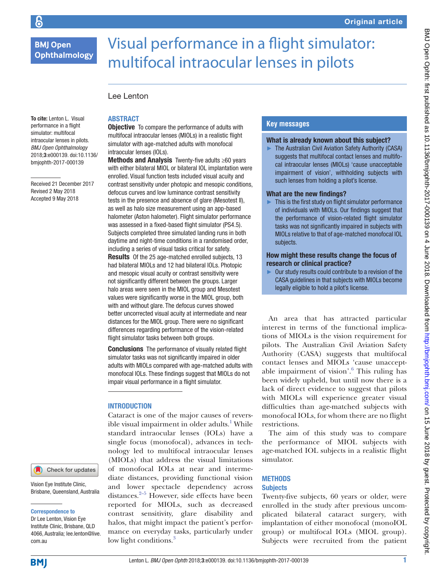# **BMJ Open** Ophthalmology

# Visual performance in a flight simulator: multifocal intraocular lenses in pilots

# Lee Lenton

To cite: Lenton L. Visual performance in a flight simulator: multifocal intraocular lenses in pilots. *BMJ Open Ophthalmology* 2018;3:e000139. doi:10.1136/ bmjophth-2017-000139

Received 21 December 2017 Revised 2 May 2018 Accepted 9 May 2018

# **ABSTRACT**

**Objective** To compare the performance of adults with multifocal intraocular lenses (MIOLs) in a realistic flight simulator with age-matched adults with monofocal intraocular lenses (IOLs).

Methods and Analysis Twenty-five adults ≥60 years with either bilateral MIOL or bilateral IOL implantation were enrolled. Visual function tests included visual acuity and contrast sensitivity under photopic and mesopic conditions, defocus curves and low luminance contrast sensitivity tests in the presence and absence of glare (Mesotest II), as well as halo size measurement using an app-based halometer (Aston halometer). Flight simulator performance was assessed in a fixed-based flight simulator (PS4.5). Subjects completed three simulated landing runs in both daytime and night-time conditions in a randomised order, including a series of visual tasks critical for safety. Results Of the 25 age-matched enrolled subjects, 13 had bilateral MIOLs and 12 had bilateral IOLs. Photopic and mesopic visual acuity or contrast sensitivity were not significantly different between the groups. Larger halo areas were seen in the MIOL group and Mesotest values were significantly worse in the MIOL group, both with and without glare. The defocus curves showed better uncorrected visual acuity at intermediate and near distances for the MIOL group. There were no significant differences regarding performance of the vision-related flight simulator tasks between both groups.

**Conclusions** The performance of visually related flight simulator tasks was not significantly impaired in older adults with MIOLs compared with age-matched adults with monofocal IOLs. These findings suggest that MIOLs do not impair visual performance in a flight simulator.

# **INTRODUCTION**

Cataract is one of the major causes of reversible visual impairment in older adults. $^{\mathrm{1}}$  $^{\mathrm{1}}$  $^{\mathrm{1}}$  While standard intraocular lenses (IOLs) have a single focus (monofocal), advances in technology led to multifocal intraocular lenses (MIOLs) that address the visual limitations of monofocal IOLs at near and intermediate distances, providing functional vision and lower spectacle dependency across distances. $2-5$  However, side effects have been reported for MIOLs, such as decreased contrast sensitivity, glare disability and halos, that might impact the patient's performance on everyday tasks, particularly under low light conditions.<sup>[3](#page-7-2)</sup>

# **Key messages**

## What is already known about this subject?

► The Australian Civil Aviation Safety Authority (CASA) suggests that multifocal contact lenses and multifocal intraocular lenses (MIOLs) 'cause unacceptable impairment of vision', withholding subjects with such lenses from holding a pilot's license.

# What are the new findings?

This is the first study on flight simulator performance of individuals with MIOLs. Our findings suggest that the performance of vision-related flight simulator tasks was not significantly impaired in subjects with MIOLs relative to that of age-matched monofocal IOL subjects.

#### How might these results change the focus of research or clinical practice?

Our study results could contribute to a revision of the CASA guidelines in that subjects with MIOLs become legally eligible to hold a pilot's license.

An area that has attracted particular interest in terms of the functional implications of MIOLs is the vision requirement for pilots. The Australian Civil Aviation Safety Authority (CASA) suggests that multifocal contact lenses and MIOLs 'cause unaccept-able impairment of vision'.<sup>[6](#page-7-3)</sup> This ruling has been widely upheld, but until now there is a lack of direct evidence to suggest that pilots with MIOLs will experience greater visual difficulties than age-matched subjects with monofocal IOLs, for whom there are no flight restrictions.

The aim of this study was to compare the performance of MIOL subjects with age-matched IOL subjects in a realistic flight simulator.

# **METHODS Subjects**

Twenty-five subjects, 60 years or older, were enrolled in the study after previous uncomplicated bilateral cataract surgery, with implantation of either monofocal (monoIOL group) or multifocal IOLs (MIOL group). Subjects were recruited from the patient

com.au **BMJ** 

Vision Eye Institute Clinic, Brisbane, Queensland, Australia

Check for updates

Correspondence to Dr Lee Lenton, Vision Eye Institute Clinic, Brisbane, QLD 4066, Australia; lee.lenton@live.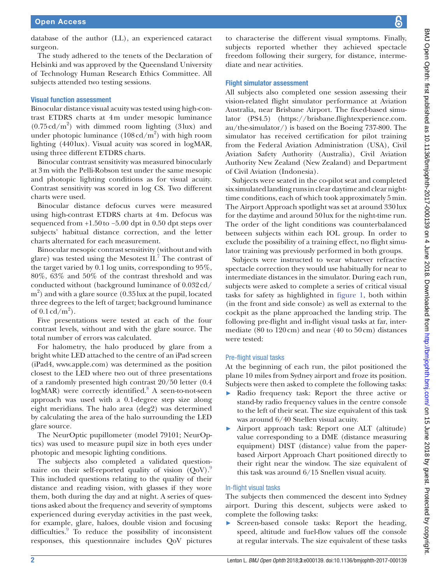database of the author (LL), an experienced cataract surgeon.

The study adhered to the tenets of the Declaration of Helsinki and was approved by the Queensland University of Technology Human Research Ethics Committee. All subjects attended two testing sessions.

# Visual function assessment

Binocular distance visual acuity was tested using high-contrast ETDRS charts at 4m under mesopic luminance  $(0.75 \text{ cd/m}^2)$  with dimmed room lighting (3lux) and under photopic luminance  $(108 \text{ cd/m}^2)$  with high room lighting (440lux). Visual acuity was scored in logMAR, using three different ETDRS charts.

Binocular contrast sensitivity was measured binocularly at 3m with the Pelli-Robson test under the same mesopic and photopic lighting conditions as for visual acuity. Contrast sensitivity was scored in log CS. Two different charts were used.

Binocular distance defocus curves were measured using high-contrast ETDRS charts at 4m. Defocus was sequenced from +1.50to −5.00 dpt in 0.50 dpt steps over subjects' habitual distance correction, and the letter charts alternated for each measurement.

Binocular mesopic contrast sensitivity (without and with glare) was tested using the Mesotest  $II.^{7}$  $II.^{7}$  $II.^{7}$ . The contrast of the target varied by 0.1 log units, corresponding to 95%, 80%, 63% and 50% of the contrast threshold and was conducted without (background luminance of 0.032cd/  $m<sup>2</sup>$ ) and with a glare source (0.35 lux at the pupil, located three degrees to the left of target; background luminance of  $0.1 \text{ cd/m}^2$ ).

Five presentations were tested at each of the four contrast levels, without and with the glare source. The total number of errors was calculated.

For halometry, the halo produced by glare from a bright white LED attached to the centre of an iPad screen (iPad4, <www.apple.com>) was determined as the position closest to the LED where two out of three presentations of a randomly presented high contrast 20/50 letter (0.4 logMAR) were correctly identified.<sup>8</sup> A seen-to-not-seen approach was used with a 0.1-degree step size along eight meridians. The halo area (deg2) was determined by calculating the area of the halo surrounding the LED glare source.

The NeurOptic pupillometer (model 79101; NeurOptics) was used to measure pupil size in both eyes under photopic and mesopic lighting conditions.

The subjects also completed a validated questionnaire on their self-reported quality of vision  $(QoV)$ . This included questions relating to the quality of their distance and reading vision, with glasses if they wore them, both during the day and at night. A series of questions asked about the frequency and severity of symptoms experienced during everyday activities in the past week, for example, glare, haloes, double vision and focusing difficulties.<sup>[9](#page-7-6)</sup> To reduce the possibility of inconsistent responses, this questionnaire includes QoV pictures

to characterise the different visual symptoms. Finally, subjects reported whether they achieved spectacle freedom following their surgery, for distance, intermediate and near activities.

# Flight simulator assessment

All subjects also completed one session assessing their vision-related flight simulator performance at Aviation Australia, near Brisbane Airport. The fixed-based simulator (PS4.5) ([https://brisbane.flightexperience.com.](https://brisbane.flightexperience.com.au/the-simulator/) [au/the-simulator/\)](https://brisbane.flightexperience.com.au/the-simulator/) is based on the Boeing 737-800. The simulator has received certification for pilot training from the Federal Aviation Administration (USA), Civil Aviation Safety Authority (Australia), Civil Aviation Authority New Zealand (New Zealand) and Department of Civil Aviation (Indonesia).

Subjects were seated in the co-pilot seat and completed six simulated landing runs in clear daytime and clear nighttime conditions, each of which took approximately 5min. The Airport Approach spotlight was set at around 330lux for the daytime and around 50lux for the night-time run. The order of the light conditions was counterbalanced between subjects within each IOL group. In order to exclude the possibility of a training effect, no flight simulator training was previously performed in both groups.

Subjects were instructed to wear whatever refractive spectacle correction they would use habitually for near to intermediate distances in the simulator. During each run, subjects were asked to complete a series of critical visual tasks for safety as highlighted in [figure](#page-2-0) 1, both within (in the front and side console) as well as external to the cockpit as the plane approached the landing strip. The following pre-flight and in-flight visual tasks at far, intermediate (80 to  $120 \text{ cm}$ ) and near (40 to  $50 \text{ cm}$ ) distances were tested:

# Pre-flight visual tasks

At the beginning of each run, the pilot positioned the plane 10 miles from Sydney airport and froze its position. Subjects were then asked to complete the following tasks:

- ► Radio frequency task: Report the three active or stand-by radio frequency values in the centre console to the left of their seat. The size equivalent of this task was around 6/40 Snellen visual acuity.
- ► Airport approach task: Report one ALT (altitude) value corresponding to a DME (distance measuring equipment) DIST (distance) value from the paperbased Airport Approach Chart positioned directly to their right near the window. The size equivalent of this task was around 6/15 Snellen visual acuity.

# In-flight visual tasks

The subjects then commenced the descent into Sydney airport. During this descent, subjects were asked to complete the following tasks:

► Screen-based console tasks: Report the heading, speed, altitude and fuel-flow values off the console at regular intervals. The size equivalent of these tasks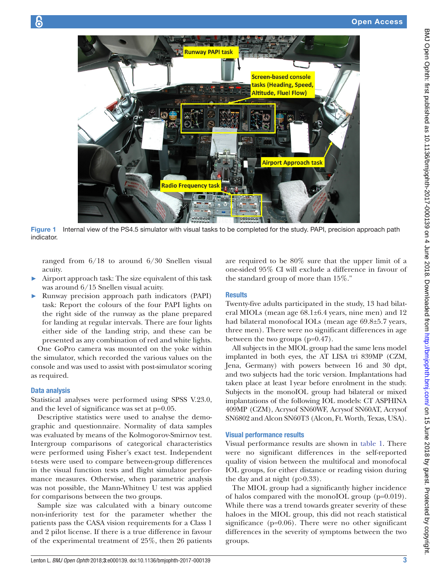BMJ Open Ophth: first published



Figure 1 Internal view of the PS4.5 simulator with visual tasks to be completed for the study. PAPI, precision approach path indicator.

<span id="page-2-0"></span>ranged from 6/18 to around 6/30 Snellen visual acuity.

- Airport approach task: The size equivalent of this task was around 6/15 Snellen visual acuity.
- ► Runway precision approach path indicators (PAPI) task: Report the colours of the four PAPI lights on the right side of the runway as the plane prepared for landing at regular intervals. There are four lights either side of the landing strip, and these can be presented as any combination of red and white lights.

One GoPro camera was mounted on the yoke within the simulator, which recorded the various values on the console and was used to assist with post-simulator scoring as required.

# Data analysis

Statistical analyses were performed using SPSS V.23.0, and the level of significance was set at p=0.05.

Descriptive statistics were used to analyse the demographic and questionnaire. Normality of data samples was evaluated by means of the Kolmogorov-Smirnov test. Intergroup comparisons of categorical characteristics were performed using Fisher's exact test. Independent t-tests were used to compare between-group differences in the visual function tests and flight simulator performance measures. Otherwise, when parametric analysis was not possible, the Mann-Whitney U test was applied for comparisons between the two groups.

Sample size was calculated with a binary outcome non-inferiority test for the parameter whether the patients pass the CASA vision requirements for a Class 1 and 2 pilot license. If there is a true difference in favour of the experimental treatment of 25%, then 26 patients are required to be 80% sure that the upper limit of a one-sided 95% CI will exclude a difference in favour of the standard group of more than 15%."

#### **Results**

Twenty-five adults participated in the study, 13 had bilateral MIOLs (mean age 68.1±6.4 years, nine men) and 12 had bilateral monofocal IOLs (mean age 69.8±5.7 years, three men). There were no significant differences in age between the two groups (p=0.47).

All subjects in the MIOL group had the same lens model implanted in both eyes, the AT LISA tri 839MP (CZM, Jena, Germany) with powers between 16 and 30 dpt, and two subjects had the toric version. Implantations had taken place at least 1year before enrolment in the study. Subjects in the monoIOL group had bilateral or mixed implantations of the following IOL models: CT ASPHINA 409MP (CZM), Acrysof SN60WF, Acrysof SN60AT, Acrysof SN6802 and Alcon SN60T3 (Alcon, Ft. Worth, Texas, USA).

## Visual performance results

Visual performance results are shown in table 1. There were no significant differences in the self-reported quality of vision between the multifocal and monofocal IOL groups, for either distance or reading vision during the day and at night  $(p>0.33)$ .

The MIOL group had a significantly higher incidence of halos compared with the monoIOL group (p=0.019). While there was a trend towards greater severity of these haloes in the MIOL group, this did not reach statistical significance (p=0.06). There were no other significant differences in the severity of symptoms between the two groups.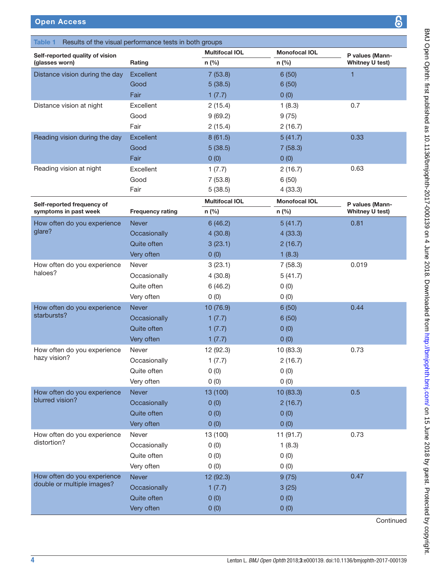| Results of the visual performance tests in both groups<br>Table 1 |                         |                       |                      |                                    |  |  |
|-------------------------------------------------------------------|-------------------------|-----------------------|----------------------|------------------------------------|--|--|
| Self-reported quality of vision                                   |                         | <b>Multifocal IOL</b> | <b>Monofocal IOL</b> | P values (Mann-                    |  |  |
| (glasses worn)                                                    | Rating                  | n (%)                 | n (%)                | Whitney U test)                    |  |  |
| Distance vision during the day                                    | <b>Excellent</b>        | 7(53.8)               | 6(50)                | 1                                  |  |  |
|                                                                   | Good                    | 5(38.5)               | 6(50)                |                                    |  |  |
|                                                                   | Fair                    | 1(7.7)                | 0(0)                 |                                    |  |  |
| Distance vision at night                                          | Excellent               | 2(15.4)               | 1(8.3)               | 0.7                                |  |  |
|                                                                   | Good                    | 9(69.2)               | 9(75)                |                                    |  |  |
|                                                                   | Fair                    | 2(15.4)               | 2(16.7)              |                                    |  |  |
| Reading vision during the day                                     | <b>Excellent</b>        | 8(61.5)               | 5(41.7)              | 0.33                               |  |  |
|                                                                   | Good                    | 5(38.5)               | 7(58.3)              |                                    |  |  |
|                                                                   | Fair                    | 0(0)                  | 0(0)                 |                                    |  |  |
| Reading vision at night                                           | Excellent               | 1(7.7)                | 2(16.7)              | 0.63                               |  |  |
|                                                                   | Good                    | 7(53.8)               | 6(50)                |                                    |  |  |
|                                                                   | Fair                    | 5(38.5)               | 4(33.3)              |                                    |  |  |
|                                                                   |                         | <b>Multifocal IOL</b> | <b>Monofocal IOL</b> |                                    |  |  |
| Self-reported frequency of<br>symptoms in past week               | <b>Frequency rating</b> | n (%)                 | n (%)                | P values (Mann-<br>Whitney U test) |  |  |
| How often do you experience                                       | <b>Never</b>            | 6(46.2)               | 5(41.7)              | 0.81                               |  |  |
| glare?                                                            | Occasionally            | 4(30.8)               | 4(33.3)              |                                    |  |  |
|                                                                   | Quite often             | 3(23.1)               | 2(16.7)              |                                    |  |  |
|                                                                   | Very often              | 0(0)                  | 1(8.3)               |                                    |  |  |
| How often do you experience                                       | Never                   | 3(23.1)               | 7(58.3)              | 0.019                              |  |  |
| haloes?                                                           | Occasionally            | 4(30.8)               | 5(41.7)              |                                    |  |  |
|                                                                   | Quite often             | 6(46.2)               | 0(0)                 |                                    |  |  |
|                                                                   | Very often              | 0(0)                  | 0(0)                 |                                    |  |  |
| How often do you experience                                       | <b>Never</b>            | 10 (76.9)             | 6(50)                | 0.44                               |  |  |
| starbursts?                                                       | Occasionally            | 1(7.7)                | 6(50)                |                                    |  |  |
|                                                                   | Quite often             | 1(7.7)                | 0(0)                 |                                    |  |  |
|                                                                   | Very often              | 1(7.7)                | 0(0)                 |                                    |  |  |
| How often do you experience                                       | Never                   | 12 (92.3)             | 10 (83.3)            | 0.73                               |  |  |
| hazy vision?                                                      | Occasionally            | 1(7.7)                | 2(16.7)              |                                    |  |  |
|                                                                   | Quite often             | 0(0)                  | 0(0)                 |                                    |  |  |
|                                                                   | Very often              | 0(0)                  | 0(0)                 |                                    |  |  |
| How often do you experience                                       | <b>Never</b>            | 13 (100)              | 10 (83.3)            | 0.5                                |  |  |
| blurred vision?                                                   | Occasionally            | 0(0)                  | 2(16.7)              |                                    |  |  |
|                                                                   | Quite often             | 0(0)                  | 0(0)                 |                                    |  |  |
|                                                                   | Very often              | 0(0)                  | 0(0)                 |                                    |  |  |
|                                                                   | Never                   |                       |                      | 0.73                               |  |  |
| How often do you experience<br>distortion?                        |                         | 13 (100)              | 11 (91.7)            |                                    |  |  |
|                                                                   | Occasionally            | 0(0)                  | 1(8.3)               |                                    |  |  |
|                                                                   | Quite often             | 0(0)                  | 0(0)                 |                                    |  |  |
|                                                                   | Very often              | 0(0)                  | 0(0)                 |                                    |  |  |
| How often do you experience<br>double or multiple images?         | <b>Never</b>            | 12 (92.3)             | 9(75)                | 0.47                               |  |  |
|                                                                   | Occasionally            | 1(7.7)                | 3(25)                |                                    |  |  |
|                                                                   | Quite often             | 0(0)                  | 0(0)                 |                                    |  |  |
|                                                                   | Very often              | 0(0)                  | 0(0)                 |                                    |  |  |

BMJ Open On 15 June 2018 by copyright. Protected as 10.1136/bmjophth-2013 by guest. Protected by guest. Protected by copyright

BMJ Open Ophth: first published as 10.11136/bmjophth-2017-000139 on 4 June 2018. Downloaded from http://bmjophth.bmj.com/ on 15 June 2018 by guest. Protected by copyright.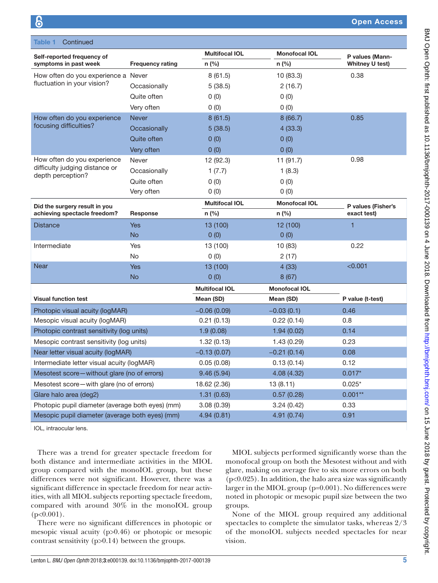| Continued<br>Table 1                             |                         |                       |                      |                    |
|--------------------------------------------------|-------------------------|-----------------------|----------------------|--------------------|
| Self-reported frequency of                       |                         | <b>Multifocal IOL</b> | <b>Monofocal IOL</b> | P values (Mann-    |
| symptoms in past week                            | <b>Frequency rating</b> | n (%)                 | n (%)                | Whitney U test)    |
| How often do you experience a Never              |                         | 8(61.5)               | 10 (83.3)            | 0.38               |
| fluctuation in your vision?                      | Occasionally            | 5(38.5)               | 2(16.7)              |                    |
|                                                  | Quite often             | 0(0)                  | 0(0)                 |                    |
|                                                  | Very often              | 0(0)                  | 0(0)                 |                    |
| How often do you experience                      | <b>Never</b>            | 8(61.5)               | 8(66.7)              | 0.85               |
| focusing difficulties?                           | Occasionally            | 5(38.5)               | 4(33.3)              |                    |
|                                                  | Quite often             | 0(0)                  | 0(0)                 |                    |
|                                                  | Very often              | 0(0)                  | 0(0)                 |                    |
| How often do you experience                      | Never                   | 12 (92.3)             | 11 (91.7)            | 0.98               |
| difficulty judging distance or                   | Occasionally            | 1(7.7)                | 1(8.3)               |                    |
| depth perception?                                | Quite often             | 0(0)                  | 0(0)                 |                    |
|                                                  | Very often              | 0(0)                  | 0(0)                 |                    |
| Did the surgery result in you                    |                         | <b>Multifocal IOL</b> | <b>Monofocal IOL</b> | P values (Fisher's |
| achieving spectacle freedom?                     | Response                | n (%)                 | n (%)                | exact test)        |
| <b>Distance</b>                                  | <b>Yes</b>              | 13 (100)              | 12 (100)             | 1                  |
|                                                  | <b>No</b>               | 0(0)                  | 0(0)                 |                    |
| Intermediate                                     | Yes                     | 13 (100)              | 10 (83)              | 0.22               |
|                                                  | No                      | 0(0)                  | 2(17)                |                    |
| <b>Near</b>                                      | <b>Yes</b>              | 13 (100)              | 4(33)                | < 0.001            |
|                                                  | <b>No</b>               | 0(0)                  | 8(67)                |                    |
|                                                  |                         | <b>Multifocal IOL</b> | <b>Monofocal IOL</b> |                    |
| <b>Visual function test</b>                      |                         | Mean (SD)             | Mean (SD)            | P value (t-test)   |
| Photopic visual acuity (logMAR)                  |                         | $-0.06(0.09)$         | $-0.03(0.1)$         | 0.46               |
| Mesopic visual acuity (logMAR)                   |                         | 0.21(0.13)            | 0.22(0.14)           | 0.8                |
| Photopic contrast sensitivity (log units)        |                         | 1.9(0.08)             | 1.94(0.02)           | 0.14               |
| Mesopic contrast sensitivity (log units)         |                         | 1.32(0.13)            | 1.43(0.29)           | 0.23               |
| Near letter visual acuity (logMAR)               |                         | $-0.13(0.07)$         | $-0.21(0.14)$        | 0.08               |
| Intermediate letter visual acuity (logMAR)       |                         | 0.05(0.08)            | 0.13(0.14)           | 0.12               |
| Mesotest score-without glare (no of errors)      |                         | 9.46(5.94)            | 4.08 (4.32)          | $0.017*$           |
| Mesotest score-with glare (no of errors)         |                         | 18.62 (2.36)          | 13 (8.11)            | $0.025*$           |
| Glare halo area (deg2)                           |                         | 1.31(0.63)            | 0.57(0.28)           | $0.001**$          |
| Photopic pupil diameter (average both eyes) (mm) |                         | 3.08(0.39)            | 3.24(0.42)           | 0.33               |
| Mesopic pupil diameter (average both eyes) (mm)  |                         | 4.94(0.81)            | 4.91 (0.74)          | 0.91               |

IOL, intraocular lens.

There was a trend for greater spectacle freedom for both distance and intermediate activities in the MIOL group compared with the monoIOL group, but these differences were not significant. However, there was a significant difference in spectacle freedom for near activities, with all MIOL subjects reporting spectacle freedom, compared with around 30% in the monoIOL group  $(p<0.001)$ .

There were no significant differences in photopic or mesopic visual acuity (p>0.46) or photopic or mesopic contrast sensitivity (p>0.14) between the groups.

MIOL subjects performed significantly worse than the monofocal group on both the Mesotest without and with glare, making on average five to six more errors on both (p<0.025). In addition, the halo area size was significantly larger in the MIOL group (p=0.001). No differences were noted in photopic or mesopic pupil size between the two groups.

None of the MIOL group required any additional spectacles to complete the simulator tasks, whereas 2/3 of the monoIOL subjects needed spectacles for near vision.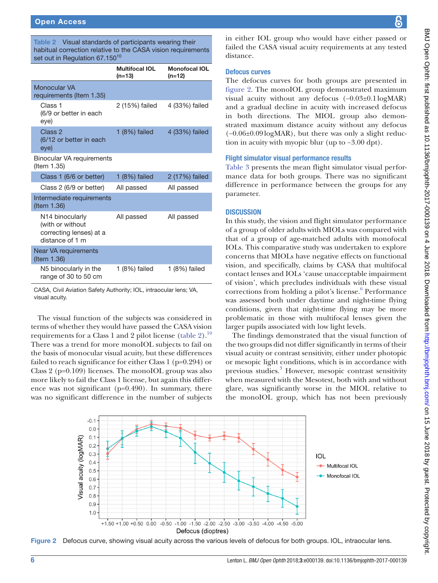<span id="page-5-0"></span>Table 2 Visual standards of participants wearing their habitual correction relative to the CASA vision requirements set out in Regulation 67.150<sup>[10](#page-7-7)</sup>

|                                                                                   | <b>Multifocal IOL</b><br>$(n=13)$ | <b>Monofocal IOL</b><br>$(n=12)$ |
|-----------------------------------------------------------------------------------|-----------------------------------|----------------------------------|
| Monocular VA<br>requirements (Item 1.35)                                          |                                   |                                  |
| Class 1<br>(6/9 or better in each<br>eye)                                         | 2 (15%) failed                    | 4 (33%) failed                   |
| Class <sub>2</sub><br>(6/12 or better in each<br>eye)                             | $1(8%)$ failed                    | 4 (33%) failed                   |
| Binocular VA requirements<br>(Item 1.35)                                          |                                   |                                  |
| Class 1 (6/6 or better)                                                           | $1(8%)$ failed                    | 2 (17%) failed                   |
| Class 2 (6/9 or better)                                                           | All passed                        | All passed                       |
| Intermediate requirements<br>(Item 1.36)                                          |                                   |                                  |
| N14 binocularly<br>(with or without<br>correcting lenses) at a<br>distance of 1 m | All passed                        | All passed                       |
| Near VA requirements<br>(Item 1.36)                                               |                                   |                                  |
| N5 binocularly in the<br>range of 30 to 50 cm                                     | $1(8%)$ failed                    | $1(8%)$ failed                   |

CASA, Civil Aviation Safety Authority; IOL, intraocular lens; VA, visual acuity.

The visual function of the subjects was considered in terms of whether they would have passed the CASA vision requirements for a Class 1 and 2 pilot license [\(table](#page-5-0) 2)[.10](#page-7-7) There was a trend for more monoIOL subjects to fail on the basis of monocular visual acuity, but these differences failed to reach significance for either Class 1 (p=0.294) or Class 2 (p=0.109) licenses. The monoIOL group was also more likely to fail the Class 1 license, but again this difference was not significant (p=0.490). In summary, there was no significant difference in the number of subjects in either IOL group who would have either passed or failed the CASA visual acuity requirements at any tested distance.

# Defocus curves

The defocus curves for both groups are presented in [figure](#page-5-1) 2. The monoIOL group demonstrated maximum visual acuity without any defocus (−0.03±0.1logMAR) and a gradual decline in acuity with increased defocus in both directions. The MIOL group also demonstrated maximum distance acuity without any defocus (−0.06±0.09logMAR), but there was only a slight reduction in acuity with myopic blur (up to −3.00 dpt).

# Flight simulator visual performance results

[Table](#page-6-0) 3 presents the mean flight simulator visual performance data for both groups. There was no significant difference in performance between the groups for any parameter.

# **DISCUSSION**

In this study, the vision and flight simulator performance of a group of older adults with MIOLs was compared with that of a group of age-matched adults with monofocal IOLs. This comparative study was undertaken to explore concerns that MIOLs have negative effects on functional vision, and specifically, claims by CASA that multifocal contact lenses and IOLs 'cause unacceptable impairment of vision', which precludes individuals with these visual corrections from holding a pilot's license.<sup>[6](#page-7-3)</sup> Performance was assessed both under daytime and night-time flying conditions, given that night-time flying may be more problematic in those with multifocal lenses given the larger pupils associated with low light levels.

The findings demonstrated that the visual function of the two groups did not differ significantly in terms of their visual acuity or contrast sensitivity, either under photopic or mesopic light conditions, which is in accordance with previous studies.<sup>3</sup> However, mesopic contrast sensitivity when measured with the Mesotest, both with and without glare, was significantly worse in the MIOL relative to the monoIOL group, which has not been previously



<span id="page-5-1"></span>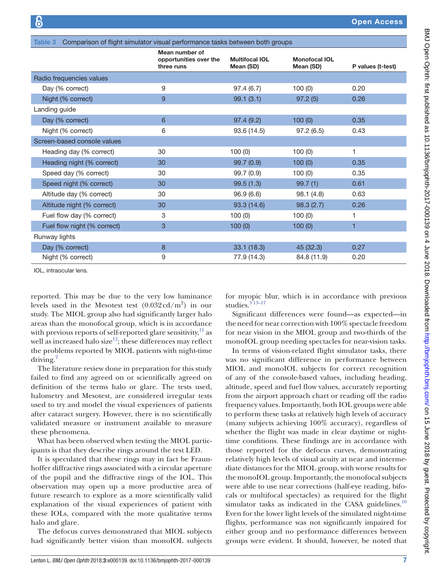<span id="page-6-0"></span>

| Comparison of flight simulator visual performance tasks between both groups<br>Table 3 |                                                        |                                    |                                   |                   |  |  |
|----------------------------------------------------------------------------------------|--------------------------------------------------------|------------------------------------|-----------------------------------|-------------------|--|--|
|                                                                                        | Mean number of<br>opportunities over the<br>three runs | <b>Multifocal IOL</b><br>Mean (SD) | <b>Monofocal IOL</b><br>Mean (SD) | P values (t-test) |  |  |
| Radio frequencies values                                                               |                                                        |                                    |                                   |                   |  |  |
| Day (% correct)                                                                        | 9                                                      | 97.4(6.7)                          | 100(0)                            | 0.20              |  |  |
| Night (% correct)                                                                      | 9                                                      | 99.1(3.1)                          | 97.2(5)                           | 0.26              |  |  |
| Landing guide                                                                          |                                                        |                                    |                                   |                   |  |  |
| Day (% correct)                                                                        | 6                                                      | 97.4(9.2)                          | 100(0)                            | 0.35              |  |  |
| Night (% correct)                                                                      | 6                                                      | 93.6 (14.5)                        | 97.2(6.5)                         | 0.43              |  |  |
| Screen-based console values                                                            |                                                        |                                    |                                   |                   |  |  |
| Heading day (% correct)                                                                | 30                                                     | 100(0)                             | 100(0)                            | 1                 |  |  |
| Heading night (% correct)                                                              | 30                                                     | 99.7 (0.9)                         | 100(0)                            | 0.35              |  |  |
| Speed day (% correct)                                                                  | 30                                                     | 99.7 (0.9)                         | 100(0)                            | 0.35              |  |  |
| Speed night (% correct)                                                                | 30                                                     | 99.5(1.3)                          | 99.7(1)                           | 0.61              |  |  |
| Altitude day (% correct)                                                               | 30                                                     | 96.9(6.6)                          | 98.1(4.8)                         | 0.63              |  |  |
| Altitude night (% correct)                                                             | 30                                                     | 93.3 (14.6)                        | 98.3(2.7)                         | 0.26              |  |  |
| Fuel flow day (% correct)                                                              | 3                                                      | 100(0)                             | 100(0)                            | 1                 |  |  |
| Fuel flow night (% correct)                                                            | 3                                                      | 100(0)                             | 100(0)                            | 1                 |  |  |
| Runway lights                                                                          |                                                        |                                    |                                   |                   |  |  |
| Day (% correct)                                                                        | 8                                                      | 33.1(18.3)                         | 45 (32.3)                         | 0.27              |  |  |
| Night (% correct)                                                                      | 9                                                      | 77.9 (14.3)                        | 84.8 (11.9)                       | 0.20              |  |  |

IOL, intraocular lens.

reported. This may be due to the very low luminance levels used in the Mesotest test  $(0.032 \text{ cd/m}^2)$  in our study. The MIOL group also had significantly larger halo areas than the monofocal group, which is in accordance with previous reports of self-reported glare sensitivity,  $11$  as well as increased halo size<sup>12</sup>; these differences may reflect the problems reported by MIOL patients with night-time driving.<sup>2</sup>

The literature review done in preparation for this study failed to find any agreed on or scientifically agreed on definition of the terms halo or glare. The tests used, halometry and Mesotest, are considered irregular tests used to try and model the visual experiences of patients after cataract surgery. However, there is no scientifically validated measure or instrument available to measure these phenomena.

What has been observed when testing the MIOL participants is that they describe rings around the test LED.

It is speculated that these rings may in fact be Fraunhoffer diffractive rings associated with a circular aperture of the pupil and the diffractive rings of the IOL. This observation may open up a more productive area of future research to explore as a more scientifically valid explanation of the visual experiences of patient with these IOLs, compared with the more qualitative terms halo and glare.

The defocus curves demonstrated that MIOL subjects had significantly better vision than monoIOL subjects for myopic blur, which is in accordance with previous studies. $313-17$ 

Significant differences were found—as expected—in the need for near correction with 100% spectacle freedom for near vision in the MIOL group and two-thirds of the monoIOL group needing spectacles for near-vision tasks.

In terms of vision-related flight simulator tasks, there was no significant difference in performance between MIOL and monoIOL subjects for correct recognition of any of the console-based values, including heading, altitude, speed and fuel flow values, accurately reporting from the airport approach chart or reading off the radio frequency values. Importantly, both IOL groups were able to perform these tasks at relatively high levels of accuracy (many subjects achieving 100% accuracy), regardless of whether the flight was made in clear daytime or nighttime conditions. These findings are in accordance with those reported for the defocus curves, demonstrating relatively high levels of visual acuity at near and intermediate distances for the MIOL group, with worse results for the monoIOL group. Importantly, the monofocal subjects were able to use near corrections (half-eye reading, bifocals or multifocal spectacles) as required for the flight simulator tasks as indicated in the CASA guidelines. $10$ Even for the lower light levels of the simulated night-time flights, performance was not significantly impaired for either group and no performance differences between groups were evident. It should, however, be noted that